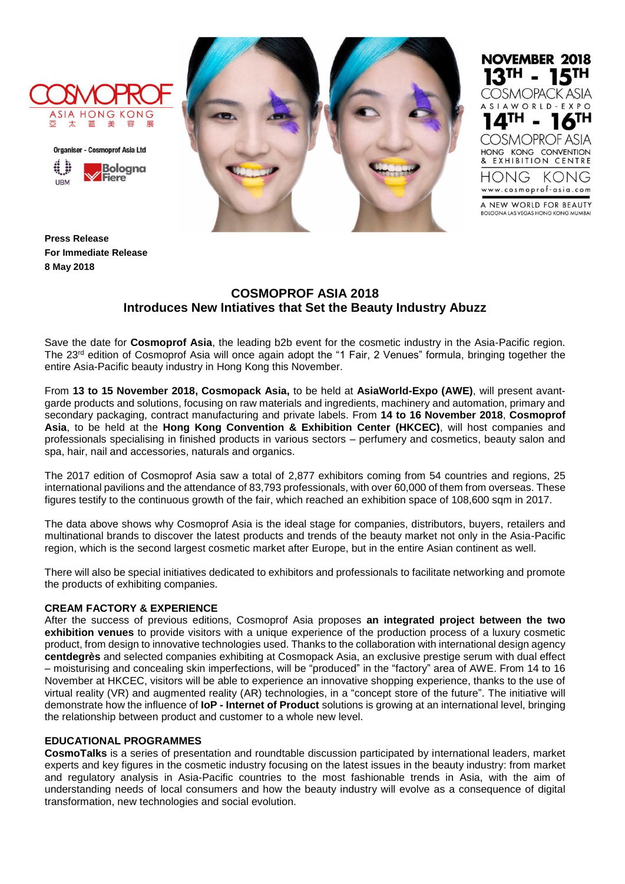







**Press Release For Immediate Release 8 May 2018**

# **COSMOPROF ASIA 2018 Introduces New Intiatives that Set the Beauty Industry Abuzz**

Save the date for **Cosmoprof Asia**, the leading b2b event for the cosmetic industry in the Asia-Pacific region. The 23rd edition of Cosmoprof Asia will once again adopt the "1 Fair, 2 Venues" formula, bringing together the entire Asia-Pacific beauty industry in Hong Kong this November.

From **13 to 15 November 2018, Cosmopack Asia,** to be held at **AsiaWorld-Expo (AWE)**, will present avantgarde products and solutions, focusing on raw materials and ingredients, machinery and automation, primary and secondary packaging, contract manufacturing and private labels. From **14 to 16 November 2018**, **Cosmoprof Asia**, to be held at the **Hong Kong Convention & Exhibition Center (HKCEC)**, will host companies and professionals specialising in finished products in various sectors – perfumery and cosmetics, beauty salon and spa, hair, nail and accessories, naturals and organics.

The 2017 edition of Cosmoprof Asia saw a total of 2,877 exhibitors coming from 54 countries and regions, 25 international pavilions and the attendance of 83,793 professionals, with over 60,000 of them from overseas. These figures testify to the continuous growth of the fair, which reached an exhibition space of 108,600 sqm in 2017.

The data above shows why Cosmoprof Asia is the ideal stage for companies, distributors, buyers, retailers and multinational brands to discover the latest products and trends of the beauty market not only in the Asia-Pacific region, which is the second largest cosmetic market after Europe, but in the entire Asian continent as well.

There will also be special initiatives dedicated to exhibitors and professionals to facilitate networking and promote the products of exhibiting companies.

## **CREAM FACTORY & EXPERIENCE**

After the success of previous editions, Cosmoprof Asia proposes **an integrated project between the two exhibition venues** to provide visitors with a unique experience of the production process of a luxury cosmetic product, from design to innovative technologies used. Thanks to the collaboration with international design agency **centdegrès** and selected companies exhibiting at Cosmopack Asia, an exclusive prestige serum with dual effect – moisturising and concealing skin imperfections, will be "produced" in the "factory" area of AWE. From 14 to 16 November at HKCEC, visitors will be able to experience an innovative shopping experience, thanks to the use of virtual reality (VR) and augmented reality (AR) technologies, in a "concept store of the future". The initiative will demonstrate how the influence of **IoP - Internet of Product** solutions is growing at an international level, bringing the relationship between product and customer to a whole new level.

## **EDUCATIONAL PROGRAMMES**

**CosmoTalks** is a series of presentation and roundtable discussion participated by international leaders, market experts and key figures in the cosmetic industry focusing on the latest issues in the beauty industry: from market and regulatory analysis in Asia-Pacific countries to the most fashionable trends in Asia, with the aim of understanding needs of local consumers and how the beauty industry will evolve as a consequence of digital transformation, new technologies and social evolution.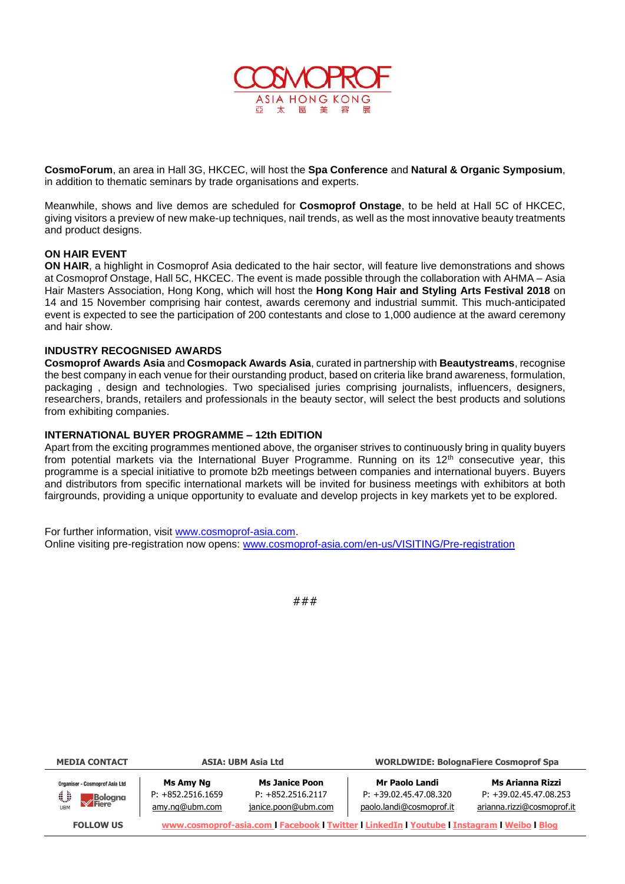

**CosmoForum**, an area in Hall 3G, HKCEC, will host the **Spa Conference** and **Natural & Organic Symposium**, in addition to thematic seminars by trade organisations and experts.

Meanwhile, shows and live demos are scheduled for **Cosmoprof Onstage**, to be held at Hall 5C of HKCEC, giving visitors a preview of new make-up techniques, nail trends, as well as the most innovative beauty treatments and product designs.

### **ON HAIR EVENT**

**ON HAIR**, a highlight in Cosmoprof Asia dedicated to the hair sector, will feature live demonstrations and shows at Cosmoprof Onstage, Hall 5C, HKCEC. The event is made possible through the collaboration with AHMA – Asia Hair Masters Association, Hong Kong, which will host the **Hong Kong Hair and Styling Arts Festival 2018** on 14 and 15 November comprising hair contest, awards ceremony and industrial summit. This much-anticipated event is expected to see the participation of 200 contestants and close to 1,000 audience at the award ceremony and hair show.

## **INDUSTRY RECOGNISED AWARDS**

**Cosmoprof Awards Asia** and **Cosmopack Awards Asia**, curated in partnership with **Beautystreams**, recognise the best company in each venue for their ourstanding product, based on criteria like brand awareness, formulation, packaging , design and technologies. Two specialised juries comprising journalists, influencers, designers, researchers, brands, retailers and professionals in the beauty sector, will select the best products and solutions from exhibiting companies.

### **INTERNATIONAL BUYER PROGRAMME – 12th EDITION**

Apart from the exciting programmes mentioned above, the organiser strives to continuously bring in quality buyers from potential markets via the International Buver Programme. Running on its 12<sup>th</sup> consecutive year, this programme is a special initiative to promote b2b meetings between companies and international buyers. Buyers and distributors from specific international markets will be invited for business meetings with exhibitors at both fairgrounds, providing a unique opportunity to evaluate and develop projects in key markets yet to be explored.

For further information, visit [www.cosmoprof-asia.com.](http://www.cosmoprof-asia.com/) Online visiting pre-registration now opens: [www.cosmoprof-asia.com/en-us/VISITING/Pre-registration](http://www.cosmoprof-asia.com/en-us/VISITING/Pre-registration)



| <b>MEDIA CONTACT</b>                                          | <b>ASIA: UBM Asia Ltd</b>                                                                   |                                                                     | <b>WORLDWIDE: BolognaFiere Cosmoprof Spa</b>                           |                                                                            |  |
|---------------------------------------------------------------|---------------------------------------------------------------------------------------------|---------------------------------------------------------------------|------------------------------------------------------------------------|----------------------------------------------------------------------------|--|
| <b>Organiser - Cosmoprof Asia Ltd</b><br>i:<br><b>Bologna</b> | Ms Amy Ng<br>$P: +852.2516.1659$<br>amy.ng@ubm.com                                          | <b>Ms Janice Poon</b><br>$P: +852.2516.2117$<br>janice.poon@ubm.com | Mr Paolo Landi<br>$P: +39.02.45.47.08.320$<br>paolo.landi@cosmoprof.it | Ms Arianna Rizzi<br>$P: +39.02.45.47.08.253$<br>arianna.rizzi@cosmoprof.it |  |
| <b>FOLLOW US</b>                                              | www.cosmoprof-asia.com   Facebook   Twitter   LinkedIn   Youtube   Instagram   Weibo   Blog |                                                                     |                                                                        |                                                                            |  |